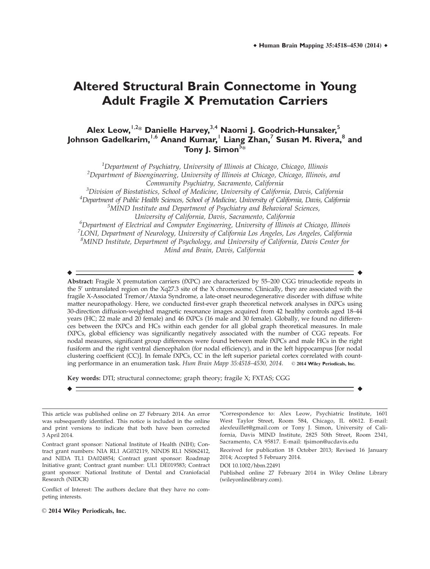# **Altered Structural Brain Connectome in Young Adult Fragile X Premutation Carriers**

Alex Leow, <sup>1,2\*</sup> Danielle Harvey, <sup>3,4</sup> Naomi J. Goodrich-Hunsaker, <sup>5</sup> **Johnson Gadelkarim,**1,6 **Anand Kumar,**<sup>1</sup> **Liang Zhan,**<sup>7</sup> **Susan M. Rivera,**<sup>8</sup> **and Tony J. Simon**<sup>5</sup> \*

 $^1$ Department of Psychiatry, University of Illinois at Chicago, Chicago, Illinois <sup>2</sup>Department of Bioengineering, University of Illinois at Chicago, Chicago, Illinois, and Community Psychiatry, Sacramento, California  $^3$ Division of Biostatistics, School of Medicine, University of California, Davis, California 4 Department of Public Health Sciences, School of Medicine, University of California, Davis, California  $^5$ MIND Institute and Department of Psychiatry and Behavioral Sciences, University of California, Davis, Sacramento, California  $^6$ Department of Electrical and Computer Engineering, University of Illinois at Chicago, Illinois <sup>7</sup>LONI, Department of Neurology, University of California Los Angeles, Los Angeles, California 8 MIND Institute, Department of Psychology, and University of California, Davis Center for

Mind and Brain, Davis, California

r r

Abstract: Fragile X premutation carriers (fXPC) are characterized by 55–200 CGG trinucleotide repeats in the 5' untranslated region on the Xq27.3 site of the X chromosome. Clinically, they are associated with the fragile X-Associated Tremor/Ataxia Syndrome, a late-onset neurodegenerative disorder with diffuse white matter neuropathology. Here, we conducted first-ever graph theoretical network analyses in fXPCs using 30-direction diffusion-weighted magnetic resonance images acquired from 42 healthy controls aged 18–44 years (HC; 22 male and 20 female) and 46 fXPCs (16 male and 30 female). Globally, we found no differences between the fXPCs and HCs within each gender for all global graph theoretical measures. In male fXPCs, global efficiency was significantly negatively associated with the number of CGG repeats. For nodal measures, significant group differences were found between male fXPCs and male HCs in the right fusiform and the right ventral diencephalon (for nodal efficiency), and in the left hippocampus [for nodal clustering coefficient (CC)]. In female fXPCs, CC in the left superior parietal cortex correlated with counting performance in an enumeration task. Hum Brain Mapp 35:4518-4530, 2014. © 2014 Wiley Periodicals, Inc.

r r

Key words: DTI; structural connectome; graph theory; fragile X; FXTAS; CGG

This article was published online on 27 February 2014. An error was subsequently identified. This notice is included in the online and print versions to indicate that both have been corrected 3 April 2014.

Contract grant sponsor: National Institute of Health (NIH); Contract grant numbers: NIA RL1 AG032119, NINDS RL1 NS062412, and NIDA TL1 DA024854; Contract grant sponsor: Roadmap Initiative grant; Contract grant number: UL1 DE019583; Contract grant sponsor: National Institute of Dental and Craniofacial Research (NIDCR)

Conflict of Interest: The authors declare that they have no competing interests.

\*Correspondence to: Alex Leow, Psychiatric Institute, 1601 West Taylor Street, Room 584, Chicago, IL 60612. E-mail: alexfeuillet@gmail.com or Tony J. Simon, University of California, Davis MIND Institute, 2825 50th Street, Room 2341, Sacramento, CA 95817. E-mail: tjsimon@ucdavis.edu

Received for publication 18 October 2013; Revised 16 January 2014; Accepted 5 February 2014.

DOI 10.1002/hbm.22491

Published online 27 February 2014 in Wiley Online Library (wileyonlinelibrary.com).

#### $\odot$  2014 Wiley Periodicals, Inc.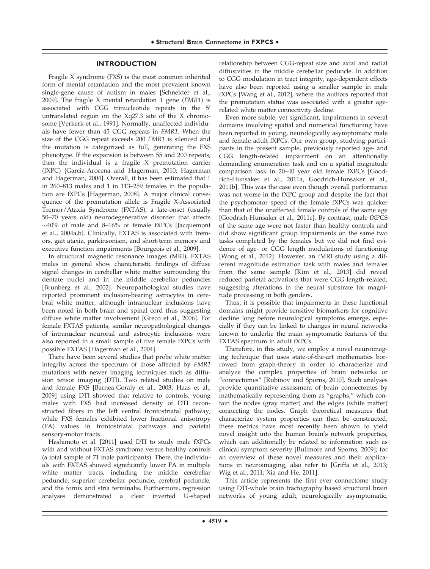# **INTRODUCTION**

Fragile X syndrome (FXS) is the most common inherited form of mental retardation and the most prevalent known single-gene cause of autism in males [Schneider et al., 2009]. The fragile X mental retardation 1 gene  $(FMR1)$  is associated with CGG trinucleotide repeats in the  $5^{\prime}$ untranslated region on the Xq27.3 site of the X chromosome [Verkerk et al., 1991]. Normally, unaffected individuals have fewer than 45 CGG repeats in FMR1. When the size of the CGG repeat exceeds 200 FMR1 is silenced and the mutation is categorized as full, generating the FXS phenotype. If the expansion is between 55 and 200 repeats, then the individual is a fragile X premutation carrier (fXPC) [Garcia-Arocena and Hagerman, 2010; Hagerman and Hagerman, 2004]. Overall, it has been estimated that 1 in 260–813 males and 1 in 113–259 females in the population are fXPCs [Hagerman, 2008]. A major clinical consequence of the premutation allele is Fragile X-Associated Tremor/Ataxia Syndrome (FXTAS), a late-onset (usually 50–70 years old) neurodegenerative disorder that affects  $\sim$ 40% of male and 8–16% of female fXPCs [Jacquemont et al., 2004a,b]. Clinically, FXTAS is associated with tremors, gait ataxia, parkinsonism, and short-term memory and executive function impairments [Bourgeois et al., 2009].

In structural magnetic resonance images (MRI), FXTAS males in general show characteristic findings of diffuse signal changes in cerebellar white matter surrounding the dentate nuclei and in the middle cerebellar peduncles [Brunberg et al., 2002]. Neuropathological studies have reported prominent inclusion-bearing astrocytes in cerebral white matter, although intranuclear inclusions have been noted in both brain and spinal cord thus suggesting diffuse white matter involvement [Greco et al., 2006]. For female FXTAS patients, similar neuropathological changes of intranuclear neuronal and astrocytic inclusions were also reported in a small sample of five female fXPCs with possible FXTAS [Hagerman et al., 2004].

There have been several studies that probe white matter integrity across the spectrum of those affected by FMR1 mutations with newer imaging techniques such as diffusion tensor imaging (DTI). Two related studies on male and female FXS [Barnea-Goraly et al., 2003; Haas et al., 2009] using DTI showed that relative to controls, young males with FXS had increased density of DTI reconstructed fibers in the left ventral frontostriatal pathway, while FXS females exhibited lower fractional anisotropy (FA) values in frontostriatal pathways and parietal sensory-motor tracts.

Hashimoto et al. [2011] used DTI to study male fXPCs with and without FXTAS syndrome versus healthy controls (a total sample of 71 male participants). There, the individuals with FXTAS showed significantly lower FA in multiple white matter tracts, including the middle cerebellar peduncle, superior cerebellar peduncle, cerebral peduncle, and the fornix and stria terminalis. Furthermore, regression analyses demonstrated a clear inverted U-shaped

relationship between CGG-repeat size and axial and radial diffusivities in the middle cerebellar peduncle. In addition to CGG modulation in tract integrity, age-dependent effects have also been reported using a smaller sample in male fXPCs [Wang et al., 2012], where the authors reported that the premutation status was associated with a greater agerelated white matter connectivity decline.

Even more subtle, yet significant, impairments in several domains involving spatial and numerical functioning have been reported in young, neurologically asymptomatic male and female adult fXPCs. Our own group, studying participants in the present sample, previously reported age- and CGG length-related impairment on an attentionally demanding enumeration task and on a spatial magnitude comparison task in 20–40 year old female fXPCs [Goodrich-Hunsaker et al., 2011a, Goodrich-Hunsaker et al., 2011b]. This was the case even though overall performance was not worse in the fXPC group and despite the fact that the psychomotor speed of the female fXPCs was quicker than that of the unaffected female controls of the same age [Goodrich-Hunsaker et al., 2011c]. By contrast, male fXPCS of the same age were not faster than healthy controls and did show significant group impairments on the same two tasks completed by the females but we did not find evidence of age- or CGG length modulations of functioning [Wong et al., 2012]. However, an fMRI study using a different magnitude estimation task with males and females from the same sample [Kim et al., 2013] did reveal reduced parietal activations that were CGG length-related, suggesting alterations in the neural substrate for magnitude processing in both genders.

Thus, it is possible that impairments in these functional domains might provide sensitive biomarkers for cognitive decline long before neurological symptoms emerge, especially if they can be linked to changes in neural networks known to underlie the main symptomatic features of the FXTAS spectrum in adult fXPCs.

Therefore, in this study, we employ a novel neuroimaging technique that uses state-of-the-art mathematics borrowed from graph-theory in order to characterize and analyze the complex properties of brain networks or "connectomes" [Rubinov and Sporns, 2010]. Such analyses provide quantitative assessment of brain connectomes by mathematically representing them as "graphs," which contain the nodes (gray matter) and the edges (white matter) connecting the nodes. Graph theoretical measures that characterize system properties can then be constructed; these metrics have most recently been shown to yield novel insight into the human brain's network properties, which can additionally be related to information such as clinical symptom severity [Bullmore and Sporns, 2009]; for an overview of these novel measures and their applications in neuroimaging, also refer to [Griffa et al., 2013; Wig et al., 2011; Xia and He, 2011].

This article represents the first ever connectome study using DTI-whole brain tractography based structural brain networks of young adult, neurologically asymptomatic,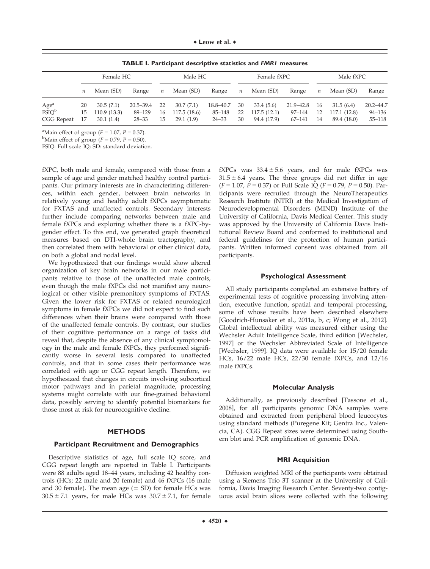|                                                     | Female HC      |                                       |                                  | Male HC        |                                        |                                  | Female fXPC    |                                         |                               | Male fXPC        |                                          |                               |
|-----------------------------------------------------|----------------|---------------------------------------|----------------------------------|----------------|----------------------------------------|----------------------------------|----------------|-----------------------------------------|-------------------------------|------------------|------------------------------------------|-------------------------------|
|                                                     | п              | Mean (SD)                             | Range                            | $\mathfrak n$  | Mean (SD)                              | Range                            | $\mathfrak n$  | Mean (SD)                               | Range                         | $\mathfrak n$    | Mean (SD)                                | Range                         |
| Age <sup>a</sup><br>FSIQ <sup>b</sup><br>CGG Repeat | 20<br>15<br>17 | 30.5(7.1)<br>110.9(13.3)<br>30.1(1.4) | 20.5–39.4<br>89-129<br>$28 - 33$ | 22<br>16<br>15 | 30.7(7.1)<br>117.5 (18.6)<br>29.1(1.9) | 18.8-40.7<br>85–148<br>$24 - 33$ | 30<br>22<br>30 | 33.4(5.6)<br>117.5(12.1)<br>94.4 (17.9) | 21.9–42.8<br>97–144<br>67–141 | - 16<br>12<br>14 | 31.5(6.4)<br>117.1 (12.8)<br>89.4 (18.0) | 20.2-44.7<br>94-136<br>55–118 |

**TABLE I. Participant descriptive statistics and** FMR1 **measures**

<sup>a</sup> Main effect of group ( $F = 1.07$ ,  $P = 0.37$ ).<br><sup>b</sup> Main effect of group ( $F = 0.79$ ,  $P = 0.50$ ).

<sup>b</sup>Main effect of group ( $F = 0.79$ ,  $P = 0.50$ ).

FSIQ: Full scale IQ; SD: standard deviation.

fXPC, both male and female, compared with those from a sample of age and gender matched healthy control participants. Our primary interests are in characterizing differences, within each gender, between brain networks in relatively young and healthy adult fXPCs asymptomatic for FXTAS and unaffected controls. Secondary interests further include comparing networks between male and female fXPCs and exploring whether there is a fXPC-bygender effect. To this end, we generated graph theoretical measures based on DTI-whole brain tractography, and then correlated them with behavioral or other clinical data, on both a global and nodal level.

We hypothesized that our findings would show altered organization of key brain networks in our male participants relative to those of the unaffected male controls, even though the male fXPCs did not manifest any neurological or other visible premonitory symptoms of FXTAS. Given the lower risk for FXTAS or related neurological symptoms in female fXPCs we did not expect to find such differences when their brains were compared with those of the unaffected female controls. By contrast, our studies of their cognitive performance on a range of tasks did reveal that, despite the absence of any clinical symptomology in the male and female fXPCs, they performed significantly worse in several tests compared to unaffected controls, and that in some cases their performance was correlated with age or CGG repeat length. Therefore, we hypothesized that changes in circuits involving subcortical motor pathways and in parietal magnitude, processing systems might correlate with our fine-grained behavioral data, possibly serving to identify potential biomarkers for those most at risk for neurocognitive decline.

#### **METHODS**

#### **Participant Recruitment and Demographics**

Descriptive statistics of age, full scale IQ score, and CGG repeat length are reported in Table I. Participants were 88 adults aged 18–44 years, including 42 healthy controls (HCs; 22 male and 20 female) and 46 fXPCs (16 male and 30 female). The mean age  $(\pm$  SD) for female HCs was  $30.5 \pm 7.1$  years, for male HCs was  $30.7 \pm 7.1$ , for female

fXPCs was  $33.4 \pm 5.6$  years, and for male fXPCs was  $31.5 \pm 6.4$  years. The three groups did not differ in age  $(F = 1.07, P = 0.37)$  or Full Scale IQ  $(F = 0.79, P = 0.50)$ . Participants were recruited through the NeuroTherapeutics Research Institute (NTRI) at the Medical Investigation of Neurodevelopmental Disorders (MIND) Institute of the University of California, Davis Medical Center. This study was approved by the University of California Davis Institutional Review Board and conformed to institutional and federal guidelines for the protection of human participants. Written informed consent was obtained from all participants.

#### **Psychological Assessment**

All study participants completed an extensive battery of experimental tests of cognitive processing involving attention, executive function, spatial and temporal processing, some of whose results have been described elsewhere [Goodrich-Hunsaker et al., 2011a, b, c; Wong et al., 2012]. Global intellectual ability was measured either using the Wechsler Adult Intelligence Scale, third edition [Wechsler, 1997] or the Wechsler Abbreviated Scale of Intelligence [Wechsler, 1999]. IQ data were available for 15/20 female HCs, 16/22 male HCs, 22/30 female fXPCs, and 12/16 male fXPCs.

# **Molecular Analysis**

Additionally, as previously described [Tassone et al., 2008], for all participants genomic DNA samples were obtained and extracted from peripheral blood leucocytes using standard methods (Puregene Kit; Gentra Inc., Valencia, CA). CGG Repeat sizes were determined using Southern blot and PCR amplification of genomic DNA.

# **MRI Acquisition**

Diffusion weighted MRI of the participants were obtained using a Siemens Trio 3T scanner at the University of California, Davis Imaging Research Center. Seventy-two contiguous axial brain slices were collected with the following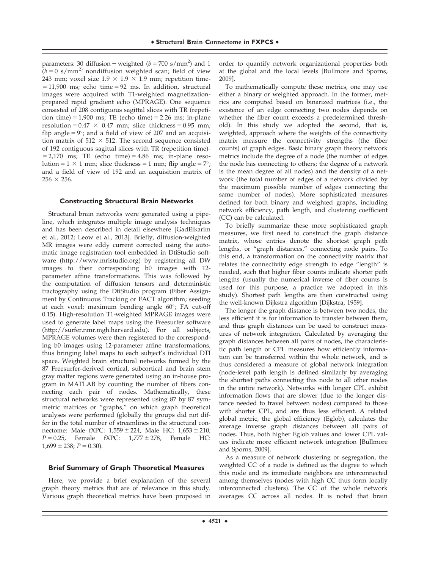parameters: 30 diffusion – weighted  $(b = 700 \text{ s/mm}^2)$  and 1  $(b=0 s/mm<sup>2</sup>)$  nondiffusion weighted scan; field of view 243 mm; voxel size  $1.9 \times 1.9 \times 1.9$  mm; repetition time- $= 11,900$  ms; echo time  $= 92$  ms. In addition, structural images were acquired with T1-weighted magnetizationprepared rapid gradient echo (MPRAGE). One sequence consisted of 208 contiguous sagittal slices with TR (repetition time) =  $1,900$  ms; TE (echo time) =  $2.26$  ms; in-plane resolution =  $0.47 \times 0.47$  mm; slice thickness =  $0.95$  mm; flip angle =  $9^\circ$ ; and a field of view of 207 and an acquisition matrix of 512  $\times$  512. The second sequence consisted of 192 contiguous sagittal slices with TR (repetition time)-  $= 2,170$  ms; TE (echo time)  $= 4.86$  ms; in-plane resolution =  $1 \times 1$  mm; slice thickness = 1 mm; flip angle =  $7^{\circ}$ ; and a field of view of 192 and an acquisition matrix of  $256 \times 256$ .

## **Constructing Structural Brain Networks**

Structural brain networks were generated using a pipeline, which integrates multiple image analysis techniques and has been described in detail elsewhere [GadElkarim et al., 2012; Leow et al., 2013]. Briefly, diffusion-weighted MR images were eddy current corrected using the automatic image registration tool embedded in DtiStudio software [\(http://www.mristudio.org](http://www.mristudio.org)) by registering all DW images to their corresponding b0 images with 12 parameter affine transformations. This was followed by the computation of diffusion tensors and deterministic tractography using the DtiStudio program (Fiber Assignment by Continuous Tracking or FACT algorithm; seeding at each voxel; maximum bending angle 60; FA cut-off 0.15). High-resolution T1-weighted MPRAGE images were used to generate label maps using the Freesurfer software (<http://surfer.nmr.mgh.harvard.edu>). For all subjects, MPRAGE volumes were then registered to the corresponding b0 images using 12-parameter affine transformations, thus bringing label maps to each subject's individual DTI space. Weighted brain structural networks formed by the 87 Freesurfer-derived cortical, subcortical and brain stem gray matter regions were generated using an in-house program in MATLAB by counting the number of fibers connecting each pair of nodes. Mathematically, these structural networks were represented using 87 by 87 symmetric matrices or "graphs," on which graph theoretical analyses were performed (globally the groups did not differ in the total number of streamlines in the structural connectome: Male fXPC:  $1,559 \pm 224$ , Male HC:  $1,653 \pm 210$ ;  $P = 0.25$ , Female fXPC:  $1,777 \pm 278$ , Female HC:  $1,699 \pm 238$ ;  $P = 0.30$ ).

## **Brief Summary of Graph Theoretical Measures**

Here, we provide a brief explanation of the several graph theory metrics that are of relevance in this study. Various graph theoretical metrics have been proposed in order to quantify network organizational properties both at the global and the local levels [Bullmore and Sporns, 2009].

To mathematically compute these metrics, one may use either a binary or weighted approach. In the former, metrics are computed based on binarized matrices (i.e., the existence of an edge connecting two nodes depends on whether the fiber count exceeds a predetermined threshold). In this study we adopted the second, that is, weighted, approach where the weights of the connectivity matrix measure the connectivity strengths (the fiber counts) of graph edges. Basic binary graph theory network metrics include the degree of a node (the number of edges the node has connecting to others; the degree of a network is the mean degree of all nodes) and the density of a network (the total number of edges of a network divided by the maximum possible number of edges connecting the same number of nodes). More sophisticated measures defined for both binary and weighted graphs, including network efficiency, path length, and clustering coefficient (CC) can be calculated.

To briefly summarize these more sophisticated graph measures, we first need to construct the graph distance matrix, whose entries denote the shortest graph path lengths, or "graph distances," connecting node pairs. To this end, a transformation on the connectivity matrix that relates the connectivity edge strength to edge "length" is needed, such that higher fiber counts indicate shorter path lengths (usually the numerical inverse of fiber counts is used for this purpose, a practice we adopted in this study). Shortest path lengths are then constructed using the well-known Dijkstra algorithm [Dijkstra, 1959].

The longer the graph distance is between two nodes, the less efficient it is for information to transfer between them, and thus graph distances can be used to construct measures of network integration. Calculated by averaging the graph distances between all pairs of nodes, the characteristic path length or CPL measures how efficiently information can be transferred within the whole network, and is thus considered a measure of global network integration (node-level path length is defined similarly by averaging the shortest paths connecting this node to all other nodes in the entire network). Networks with longer CPL exhibit information flows that are slower (due to the longer distance needed to travel between nodes) compared to those with shorter CPL, and are thus less efficient. A related global metric, the global efficiency (Eglob), calculates the average inverse graph distances between all pairs of nodes. Thus, both higher Eglob values and lower CPL values indicate more efficient network integration [Bullmore and Sporns, 2009].

As a measure of network clustering or segregation, the weighted CC of a node is defined as the degree to which this node and its immediate neighbors are interconnected among themselves (nodes with high CC thus form locally interconnected clusters). The CC of the whole network averages CC across all nodes. It is noted that brain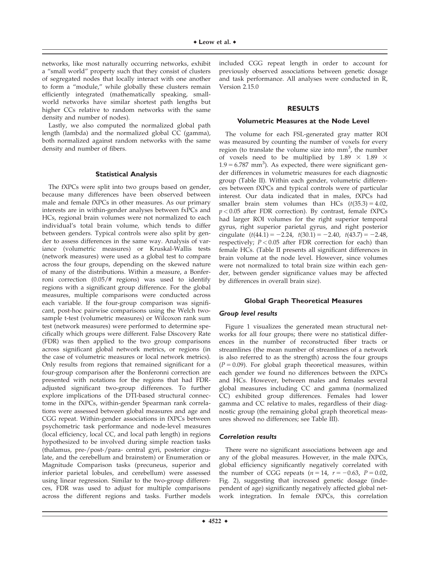networks, like most naturally occurring networks, exhibit a "small world" property such that they consist of clusters of segregated nodes that locally interact with one another to form a "module," while globally these clusters remain efficiently integrated (mathematically speaking, smallworld networks have similar shortest path lengths but higher CCs relative to random networks with the same density and number of nodes).

Lastly, we also computed the normalized global path length (lambda) and the normalized global CC (gamma), both normalized against random networks with the same density and number of fibers.

# **Statistical Analysis**

The fXPCs were split into two groups based on gender, because many differences have been observed between male and female fXPCs in other measures. As our primary interests are in within-gender analyses between fxPCs and HCs, regional brain volumes were not normalized to each individual's total brain volume, which tends to differ between genders. Typical controls were also split by gender to assess differences in the same way. Analysis of variance (volumetric measures) or Kruskal-Wallis tests (network measures) were used as a global test to compare across the four groups, depending on the skewed nature of many of the distributions. Within a measure, a Bonferroni correction (0.05/# regions) was used to identify regions with a significant group difference. For the global measures, multiple comparisons were conducted across each variable. If the four-group comparison was significant, post-hoc pairwise comparisons using the Welch twosample t-test (volumetric measures) or Wilcoxon rank sum test (network measures) were performed to determine specifically which groups were different. False Discovery Rate (FDR) was then applied to the two group comparisons across significant global network metrics, or regions (in the case of volumetric measures or local network metrics). Only results from regions that remained significant for a four-group comparison after the Bonferonni correction are presented with notations for the regions that had FDRadjusted significant two-group differences. To further explore implications of the DTI-based structural connectome in the fXPCs, within-gender Spearman rank correlations were assessed between global measures and age and CGG repeat. Within-gender associations in fXPCs between psychometric task performance and node-level measures (local efficiency, local CC, and local path length) in regions hypothesized to be involved during simple reaction tasks (thalamus, pre-/post-/para- central gyri, posterior cingulate, and the cerebellum and brainstem) or Enumeration or Magnitude Comparison tasks (precuneus, superior and inferior parietal lobules, and cerebellum) were assessed using linear regression. Similar to the two-group differences, FDR was used to adjust for multiple comparisons across the different regions and tasks. Further models

included CGG repeat length in order to account for previously observed associations between genetic dosage and task performance. All analyses were conducted in R, Version 2.15.0

# **RESULTS**

#### **Volumetric Measures at the Node Level**

The volume for each FSL-generated gray matter ROI was measured by counting the number of voxels for every region (to translate the volume size into mm<sup>3</sup>, the number of voxels need to be multiplied by  $1.89 \times 1.89 \times$  $1.9 = 6.787$  mm<sup>3</sup>). As expected, there were significant gender differences in volumetric measures for each diagnostic group (Table II). Within each gender, volumetric differences between fXPCs and typical controls were of particular interest. Our data indicated that in males, fXPCs had smaller brain stem volumes than HCs  $(t(35.3) = 4.02)$ ,  $p < 0.05$  after FDR correction). By contrast, female fXPCs had larger ROI volumes for the right superior temporal gyrus, right superior parietal gyrus, and right posterior cingulate  $(t(44.1) = -2.24, t(30.1) = -2.40, t(43.7) = -2.48,$ respectively;  $P < 0.05$  after FDR correction for each) than female HCs. (Table II presents all significant differences in brain volume at the node level. However, since volumes were not normalized to total brain size within each gender, between gender significance values may be affected by differences in overall brain size).

#### **Global Graph Theoretical Measures**

#### Group level results

Figure 1 visualizes the generated mean structural networks for all four groups; there were no statistical differences in the number of reconstructed fiber tracts or streamlines (the mean number of streamlines of a network is also referred to as the strength) across the four groups  $(P = 0.09)$ . For global graph theoretical measures, within each gender we found no differences between the fXPCs and HCs. However, between males and females several global measures including CC and gamma (normalized CC) exhibited group differences. Females had lower gamma and CC relative to males, regardless of their diagnostic group (the remaining global graph theoretical measures showed no differences; see Table III).

## Correlation results

There were no significant associations between age and any of the global measures. However, in the male fXPCs, global efficiency significantly negatively correlated with the number of CGG repeats  $(n = 14, r = -0.63, P = 0.02,$ Fig. 2), suggesting that increased genetic dosage (independent of age) significantly negatively affected global network integration. In female fXPCs, this correlation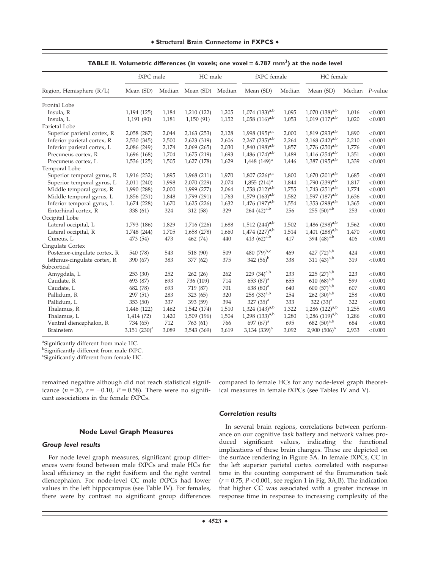|                               | fXPC male         |        | HC male     |        | fXPC female                  |        | HC female                    |        |            |
|-------------------------------|-------------------|--------|-------------|--------|------------------------------|--------|------------------------------|--------|------------|
| Region, Hemisphere $(R/L)$    | Mean (SD)         | Median | Mean (SD)   | Median | Mean (SD)                    | Median | Mean (SD)                    | Median | $P$ -value |
| Frontal Lobe                  |                   |        |             |        |                              |        |                              |        |            |
| Insula, R                     | 1,194 (125)       | 1,184  | 1,210 (122) | 1,205  | $1,074$ $(133)^{a,b}$        | 1,095  | $1,070$ $(138)^{a,b}$        | 1,016  | < 0.001    |
| Insula, L                     | 1,191(90)         | 1,181  | 1,150(91)   | 1,152  | $1,058$ $(116)^{a,b}$        | 1,053  | $1,019$ $(117)^{a,b}$        | 1,020  | < 0.001    |
| Parietal Lobe                 |                   |        |             |        |                              |        |                              |        |            |
| Superior parietal cortex, R   | 2,058 (287)       | 2,044  | 2,163 (253) | 2,128  | 1,998 $(195)^{a,c}$          | 2,000  | $1,819$ $(293)^{a,b}$        | 1,890  | < 0.001    |
| Inferior parietal cortex, R   | 2,530 (345)       | 2,500  | 2,623 (319) | 2,606  | 2,267 $(235)^{a,b}$          | 2,264  | 2,168 $(242)^{a,b}$          | 2,210  | < 0.001    |
| Inferior parietal cortex, L   | 2,086 (249)       | 2,174  | 2,069 (265) | 2,030  | $1,840$ $(198)^{a,b}$        | 1,857  | $1,776$ $(250)^{a,b}$        | 1,776  | < 0.001    |
| Precuneus cortex, R           | 1,696 (168)       | 1,704  | 1,675(219)  | 1,693  | 1,486 $(174)^{a,b}$          | 1,489  | $1,416$ $(254)^{a,b}$        | 1,351  | < 0.001    |
| Precuneus cortex, L           | 1,536 (125)       | 1,505  | 1,627 (178) | 1,629  | $1,448$ $(149)^a$            | 1,446  | $1,387$ $(195)^{a,b}$        | 1,339  | < 0.001    |
| Temporal Lobe                 |                   |        |             |        |                              |        |                              |        |            |
| Superior temporal gyrus, R    | 1,916 (232)       | 1,895  | 1,968 (211) | 1,970  | $1,807$ (226) <sup>a,c</sup> | 1,800  | $1,670$ $(201)^{a,b}$        | 1,685  | < 0.001    |
| Superior temporal gyrus, L    | 2,011 (240)       | 1,998  | 2,070 (229) | 2,074  | $1,855$ $(214)^a$            | 1,844  | $1,790$ $(239)^{a,b}$        | 1,817  | < 0.001    |
| Middle temporal gyrus, R      | 1,990 (288)       | 2,000  | 1,999 (277) | 2,064  | $1.758$ $(212)^{a,b}$        | 1,755  | $1,743$ $(251)^{a,b}$        | 1,774  | < 0.001    |
| Middle temporal gyrus, L      | 1,856 (231)       | 1,848  | 1,799 (291) | 1,763  | $1,579$ $(163)^{a,b}$        | 1,582  | 1,597 $(187)^{a,b}$          | 1,636  | < 0.001    |
| Inferior temporal gyrus, L    | 1,674 (228)       | 1,670  | 1,625(226)  | 1,632  | $1,476$ $(197)^{a,b}$        | 1,554  | $1,353$ $(298)^{a,b}$        | 1,365  | < 0.001    |
| Entorhinal cortex, R          | 338 (61)          | 324    | 312 (58)    | 329    | 264 $(42)^{a,b}$             | 256    | $255(50)^{a,b}$              | 253    | < 0.001    |
| Occipital Lobe                |                   |        |             |        |                              |        |                              |        |            |
| Lateral occipital, L          | 1,793 (186)       | 1,829  | 1,716 (226) | 1,688  | $1,512$ $(244)^{a,b}$        | 1,502  | $1,486$ (298) <sup>a,b</sup> | 1,562  | < 0.001    |
| Lateral occipital, R          | 1,748 (244)       | 1,705  | 1,658 (278) | 1,660  | $1,474$ $(227)^{a,b}$        | 1,514  | 1,401 $(288)^{a,b}$          | 1,470  | < 0.001    |
| Cuneus, L                     | 473 (54)          | 473    | 462 (74)    | 440    | 413 $(62)^{a,b}$             | 417    | 394 $(48)^{a,b}$             | 406    | < 0.001    |
| Cingulate Cortex              |                   |        |             |        |                              |        |                              |        |            |
| Posterior-cingulate cortex, R | 540 (78)          | 543    | 518 (90)    | 509    | 480 $(79)^{b,c}$             | 469    | 427 $(72)^{a,b}$             | 424    | < 0.001    |
| Isthmus-cingulate cortex, R   | 390 (67)          | 383    | 377 (62)    | 375    | 342 $(56)^b$                 | 338    | 311 $(43)^{a,b}$             | 319    | < 0.001    |
| Subcortical                   |                   |        |             |        |                              |        |                              |        |            |
| Amygdala, L                   | 253 (30)          | 252    | 262(26)     | 262    | 229 $(34)^{a,b}$             | 233    | 225 $(27)^{a,b}$             | 223    | < 0.001    |
| Caudate, R                    | 693 (87)          | 693    | 736 (109)   | 714    | 653 $(87)^a$                 | 655    | $610 (68)^{a,b}$             | 599    | < 0.001    |
| Caudate, L                    | 682 (78)          | 693    | 719 (87)    | 701    | 638 $(80)^a$                 | 640    | $600 (57)^{a,b}$             | 607    | < 0.001    |
| Pallidum, R                   | 297 (51)          | 283    | 323 (65)    | 320    | $258(33)^{a,b}$              | 254    | 262 $(30)^{a,b}$             | 258    | < 0.001    |
| Pallidum, L                   | 353 (50)          | 337    | 393 (59)    | 394    | 327 $(35)^{a}$               | 333    | 322 $(33)^{a}$               | 322    | < 0.001    |
| Thalamus, R                   | 1,446 (122)       | 1,462  | 1,542 (174) | 1,510  | $1,324$ $(143)^{a,b}$        | 1,322  | $1,286$ $(122)^{a,b}$        | 1,255  | < 0.001    |
| Thalamus, L                   | 1,414 (72)        | 1,420  | 1,509 (196) | 1,504  | $1,298$ $(133)^{a,b}$        | 1,280  | $1,286$ $(119)^{a,b}$        | 1,286  | < 0.001    |
| Ventral diencephalon, R       | 734 (65)          | 712    | 763 (61)    | 766    | 697 $(67)^a$                 | 695    | 682 $(50)^{a,b}$             | 684    | < 0.001    |
| <b>Brainstem</b>              | $3,151$ $(230)^a$ | 3,089  | 3,543 (369) | 3,619  | $3,134$ $(339)^a$            | 3,092  | $2,900 (506)^a$              | 2,933  | < 0.001    |

**TABLE II. Volumetric differences (in voxels; one voxel = 6.787 mm<sup>3</sup>) at the node level** 

<sup>b</sup>Significantly different from male fXPC.

c Significantly different from female HC.

remained negative although did not reach statistical significance ( $n = 30$ ,  $r = -0.10$ ,  $P = 0.58$ ). There were no significant associations in the female fXPCs.

## **Node Level Graph Measures**

# Group level results

For node level graph measures, significant group differences were found between male fXPCs and male HCs for local efficiency in the right fusiform and the right ventral diencephalon. For node-level CC male fXPCs had lower values in the left hippocampus (see Table IV). For females, there were by contrast no significant group differences

compared to female HCs for any node-level graph theoretical measures in female fXPCs (see Tables IV and V).

# Correlation results

In several brain regions, correlations between performance on our cognitive task battery and network values produced significant values, indicating the functional implications of these brain changes. These are depicted on the surface rendering in Figure 3A. In female fXPCs, CC in the left superior parietal cortex correlated with response time in the counting component of the Enumeration task  $(r = 0.75, P < 0.001$ , see region 1 in Fig. 3A,B). The indication that higher CC was associated with a greater increase in response time in response to increasing complexity of the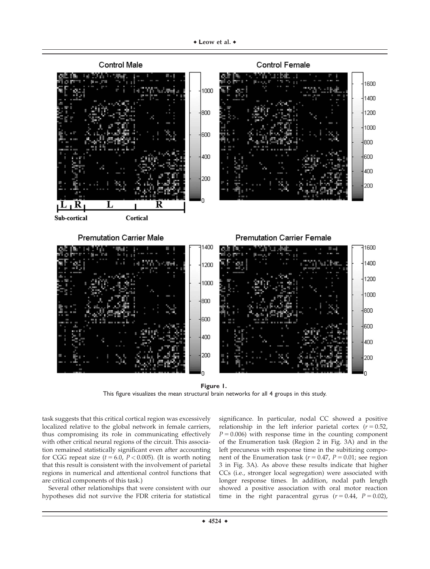



task suggests that this critical cortical region was excessively localized relative to the global network in female carriers, thus compromising its role in communicating effectively with other critical neural regions of the circuit. This association remained statistically significant even after accounting for CGG repeat size ( $t = 6.0$ ,  $P < 0.005$ ). (It is worth noting that this result is consistent with the involvement of parietal regions in numerical and attentional control functions that are critical components of this task.)

Several other relationships that were consistent with our hypotheses did not survive the FDR criteria for statistical

significance. In particular, nodal CC showed a positive relationship in the left inferior parietal cortex  $(r = 0.52)$ ,  $P = 0.006$ ) with response time in the counting component of the Enumeration task (Region 2 in Fig. 3A) and in the left precuneus with response time in the subitizing component of the Enumeration task ( $r = 0.47$ ,  $P = 0.01$ ; see region 3 in Fig. 3A). As above these results indicate that higher CCs (i.e., stronger local segregation) were associated with longer response times. In addition, nodal path length showed a positive association with oral motor reaction time in the right paracentral gyrus  $(r = 0.44, P = 0.02)$ ,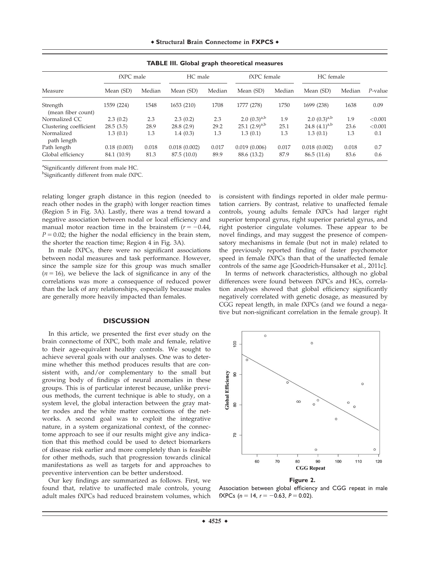|                                |             |        | $\frac{1}{2}$ $\frac{1}{2}$ $\frac{1}{2}$ $\frac{1}{2}$ $\frac{1}{2}$ $\frac{1}{2}$ $\frac{1}{2}$ $\frac{1}{2}$ $\frac{1}{2}$ $\frac{1}{2}$ $\frac{1}{2}$ $\frac{1}{2}$ $\frac{1}{2}$ $\frac{1}{2}$ $\frac{1}{2}$ $\frac{1}{2}$ $\frac{1}{2}$ $\frac{1}{2}$ $\frac{1}{2}$ $\frac{1}{2}$ $\frac{1}{2}$ $\frac{1}{2}$ |        |                    |        |                    |        |            |  |
|--------------------------------|-------------|--------|---------------------------------------------------------------------------------------------------------------------------------------------------------------------------------------------------------------------------------------------------------------------------------------------------------------------|--------|--------------------|--------|--------------------|--------|------------|--|
|                                | fXPC male   |        | HC male                                                                                                                                                                                                                                                                                                             |        | fXPC female        |        | HC female          |        |            |  |
| Measure                        | Mean (SD)   | Median | Mean (SD)                                                                                                                                                                                                                                                                                                           | Median | Mean (SD)          | Median | Mean (SD)          | Median | $P$ -value |  |
| Strength<br>(mean fiber count) | 1559 (224)  | 1548   | 1653 (210)                                                                                                                                                                                                                                                                                                          | 1708   | 1777 (278)         | 1750   | 1699 (238)         | 1638   | 0.09       |  |
| Normalized CC                  | 2.3(0.2)    | 2.3    | 2.3(0.2)                                                                                                                                                                                                                                                                                                            | 2.3    | 2.0 $(0.3)^{a,b}$  | 1.9    | 2.0 $(0.3)^{a,b}$  | 1.9    | < 0.001    |  |
| Clustering coefficient         | 28.5(3.5)   | 28.9   | 28.8(2.9)                                                                                                                                                                                                                                                                                                           | 29.2   | 25.1 $(2.9)^{a,b}$ | 25.1   | 24.8 $(4.1)^{a,b}$ | 23.6   | < 0.001    |  |
| Normalized<br>path length      | 1.3(0.1)    | 1.3    | 1.4(0.3)                                                                                                                                                                                                                                                                                                            | 1.3    | 1.3(0.1)           | 1.3    | 1.3(0.1)           | 1.3    | 0.1        |  |
| Path length                    | 0.18(0.003) | 0.018  | 0.018(0.002)                                                                                                                                                                                                                                                                                                        | 0.017  | 0.019(0.006)       | 0.017  | 0.018(0.002)       | 0.018  | 0.7        |  |
| Global efficiency              | 84.1 (10.9) | 81.3   | 87.5 (10.0)                                                                                                                                                                                                                                                                                                         | 89.9   | 88.6 (13.2)        | 87.9   | 86.5 (11.6)        | 83.6   | 0.6        |  |

**TABLE III. Global graph theoretical measures**

<sup>b</sup>Significantly different from male fXPC.

relating longer graph distance in this region (needed to reach other nodes in the graph) with longer reaction times (Region 5 in Fig. 3A). Lastly, there was a trend toward a negative association between nodal or local efficiency and manual motor reaction time in the brainstem  $(r = -0.44,$  $P = 0.02$ ; the higher the nodal efficiency in the brain stem, the shorter the reaction time; Region 4 in Fig. 3A).

In male fXPCs, there were no significant associations between nodal measures and task performance. However, since the sample size for this group was much smaller  $(n = 16)$ , we believe the lack of significance in any of the correlations was more a consequence of reduced power than the lack of any relationships, especially because males are generally more heavily impacted than females.

# **DISCUSSION**

In this article, we presented the first ever study on the brain connectome of fXPC, both male and female, relative to their age-equivalent healthy controls. We sought to achieve several goals with our analyses. One was to determine whether this method produces results that are consistent with, and/or complementary to the small but growing body of findings of neural anomalies in these groups. This is of particular interest because, unlike previous methods, the current technique is able to study, on a system level, the global interaction between the gray matter nodes and the white matter connections of the networks. A second goal was to exploit the integrative nature, in a system organizational context, of the connectome approach to see if our results might give any indication that this method could be used to detect biomarkers of disease risk earlier and more completely than is feasible for other methods, such that progression towards clinical manifestations as well as targets for and approaches to preventive intervention can be better understood.

Our key findings are summarized as follows. First, we found that, relative to unaffected male controls, young adult males fXPCs had reduced brainstem volumes, which is consistent with findings reported in older male permutation carriers. By contrast, relative to unaffected female controls, young adults female fXPCs had larger right superior temporal gyrus, right superior parietal gyrus, and right posterior cingulate volumes. These appear to be novel findings, and may suggest the presence of compensatory mechanisms in female (but not in male) related to the previously reported finding of faster psychomotor speed in female fXPCs than that of the unaffected female controls of the same age [Goodrich-Hunsaker et al., 2011c].

In terms of network characteristics, although no global differences were found between fXPCs and HCs, correlation analyses showed that global efficiency significantly negatively correlated with genetic dosage, as measured by CGG repeat length, in male fXPCs (and we found a negative but non-significant correlation in the female group). It



Association between global efficiency and CGG repeat in male fXPCs ( $n = 14$ ,  $r = -0.63$ ,  $P = 0.02$ ).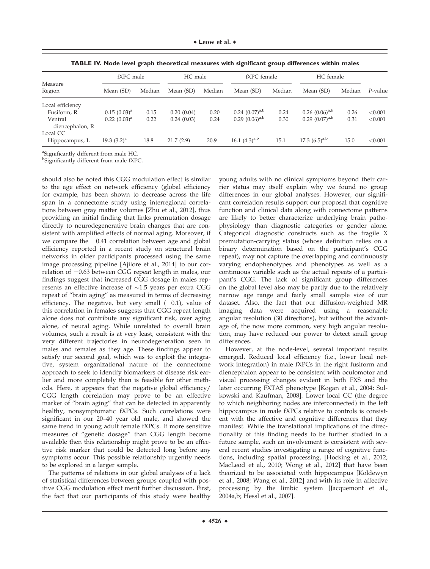|                            | fXPC male         |        | HC male    |        | fXPC female         |        | HC female             |        |            |  |
|----------------------------|-------------------|--------|------------|--------|---------------------|--------|-----------------------|--------|------------|--|
| Measure<br>Region          | Mean (SD)         | Median | Mean (SD)  | Median | Mean (SD)           | Median | Mean (SD)             | Median | $P$ -value |  |
| Local efficiency           |                   |        |            |        |                     |        |                       |        |            |  |
| Fusiform, R                | $0.15(0.03)^{a}$  | 0.15   | 0.20(0.04) | 0.20   | $0.24~(0.07)^{a,b}$ | 0.24   | $0.26$ $(0.06)^{a,b}$ | 0.26   | < 0.001    |  |
| Ventral<br>diencephalon, R | $0.22$ $(0.03)^a$ | 0.22   | 0.24(0.03) | 0.24   | $0.29(0.06)^{a,b}$  | 0.30   | $0.29$ $(0.07)^{a,b}$ | 0.31   | < 0.001    |  |
| Local CC                   |                   |        |            |        |                     |        |                       |        |            |  |
| Hippocampus, L             | $19.3 (3.2)^a$    | 18.8   | 21.7(2.9)  | 20.9   | 16.1 $(4.3)^{a,b}$  | 15.1   | $17.3$ $(6.5)^{a,b}$  | 15.0   | < 0.001    |  |

**TABLE IV. Node level graph theoretical measures with significant group differences within males**

<sup>b</sup>Significantly different from male fXPC.

should also be noted this CGG modulation effect is similar to the age effect on network efficiency (global efficiency for example, has been shown to decrease across the life span in a connectome study using interregional correlations between gray matter volumes [Zhu et al., 2012], thus providing an initial finding that links premutation dosage directly to neurodegenerative brain changes that are consistent with amplified effects of normal aging. Moreover, if we compare the  $-0.41$  correlation between age and global efficiency reported in a recent study on structural brain networks in older participants processed using the same image processing pipeline [Ajilore et al., 2014] to our correlation of  $-0.63$  between CGG repeat length in males, our findings suggest that increased CGG dosage in males represents an effective increase of  ${\sim}1.5$  years per extra CGG repeat of "brain aging" as measured in terms of decreasing efficiency. The negative, but very small  $(-0.1)$ , value of this correlation in females suggests that CGG repeat length alone does not contribute any significant risk, over aging alone, of neural aging. While unrelated to overall brain volumes, such a result is at very least, consistent with the very different trajectories in neurodegeneration seen in males and females as they age. These findings appear to satisfy our second goal, which was to exploit the integrative, system organizational nature of the connectome approach to seek to identify biomarkers of disease risk earlier and more completely than is feasible for other methods. Here, it appears that the negative global efficiency/ CGG length correlation may prove to be an effective marker of "brain aging" that can be detected in apparently healthy, nonsymptomatic fXPCs. Such correlations were significant in our 20–40 year old male, and showed the same trend in young adult female fXPCs. If more sensitive measures of "genetic dosage" than CGG length become available then this relationship might prove to be an effective risk marker that could be detected long before any symptoms occur. This possible relationship urgently needs to be explored in a larger sample.

The patterns of relations in our global analyses of a lack of statistical differences between groups coupled with positive CGG modulation effect merit further discussion. First, the fact that our participants of this study were healthy

young adults with no clinical symptoms beyond their carrier status may itself explain why we found no group differences in our global analyses. However, our significant correlation results support our proposal that cognitive function and clinical data along with connectome patterns are likely to better characterize underlying brain pathophysiology than diagnostic categories or gender alone. Categorical diagnostic constructs such as the fragile X premutation-carrying status (whose definition relies on a binary determination based on the participant's CGG repeat), may not capture the overlapping and continuously varying endophenotypes and phenotypes as well as a continuous variable such as the actual repeats of a participant's CGG. The lack of significant group differences on the global level also may be partly due to the relatively narrow age range and fairly small sample size of our dataset. Also, the fact that our diffusion-weighted MR imaging data were acquired using a reasonable angular resolution (30 directions), but without the advantage of, the now more common, very high angular resolution, may have reduced our power to detect small group differences.

However, at the node-level, several important results emerged. Reduced local efficiency (i.e., lower local network integration) in male fXPCs in the right fusiform and diencephalon appear to be consistent with oculomotor and visual processing changes evident in both FXS and the later occurring FXTAS phenotype [Kogan et al., 2004; Sulkowski and Kaufman, 2008]. Lower local CC (the degree to which neighboring nodes are interconnected) in the left hippocampus in male fXPCs relative to controls is consistent with the affective and cognitive differences that they manifest. While the translational implications of the directionality of this finding needs to be further studied in a future sample, such an involvement is consistent with several recent studies investigating a range of cognitive functions, including spatial processing, [Hocking et al., 2012; MacLeod et al., 2010; Wong et al., 2012] that have been theorized to be associated with hippocampus [Koldewyn et al., 2008; Wang et al., 2012] and with its role in affective processing by the limbic system [Jacquemont et al., 2004a,b; Hessl et al., 2007].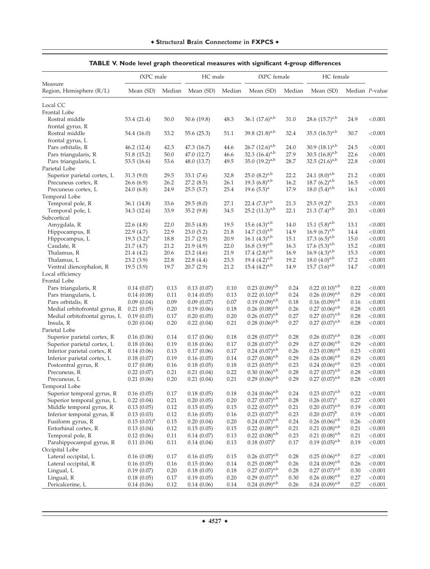|                                     | fXPC male      |        | HC male     |          | fXPC female           |        | HC female             |      |                |  |
|-------------------------------------|----------------|--------|-------------|----------|-----------------------|--------|-----------------------|------|----------------|--|
| Measure<br>Region, Hemisphere (R/L) | Mean (SD)      | Median | Mean (SD)   | Median   | Mean (SD)             | Median | Mean (SD)             |      | Median P-value |  |
| Local CC                            |                |        |             |          |                       |        |                       |      |                |  |
| Frontal Lobe                        |                |        |             |          |                       |        |                       |      |                |  |
| Rostral middle                      | 53.4 (21.4)    | 50.0   | 50.6 (19.8) | 48.3     | 36.1 $(17.6)^{a,b}$   | 31.0   | 28.6 $(15.7)^{a,b}$   | 24.9 | < 0.001        |  |
| frontal gyrus, R                    |                |        |             |          |                       |        |                       |      |                |  |
| Rostral middle                      | 54.4 (16.0)    | 53.2   | 55.6 (25.3) | 51.1     | 39.8 $(21.8)^{a,b}$   | 32.4   | 35.5 $(16.5)^{a,b}$   | 30.7 | < 0.001        |  |
| frontal gyrus, L                    |                |        |             |          |                       |        |                       |      |                |  |
| Pars orbitalis, R                   | 46.2(12.4)     | 42.3   | 47.3 (16.7) | 44.6     | 26.7 $(12.6)^{a,b}$   | 24.0   | 30.9 $(18.1)^{a,b}$   | 24.5 | < 0.001        |  |
| Pars triangularis, R                | 51.8(15.2)     | 50.0   | 47.0 (12.7) | 46.6     | 32.3 $(16.4)^{a,b}$   | 27.9   | 30.5 $(16.8)^{a,b}$   | 22.6 | < 0.001        |  |
| Pars triangularis, L                | 53.5 (16.6)    | 53.6   | 48.0 (13.7) | 49.5     | 35.0 $(19.2)^{a,b}$   | 28.7   | 32.5 $(21.6)^{a,b}$   | 22.8 | < 0.001        |  |
| Parietal Lobe                       |                |        |             |          |                       |        |                       |      |                |  |
| Superior parietal cortex, L         | 31.3(9.0)      | 29.5   | 33.1(7.6)   | 32.8     | 25.0 $(8.2)^{a,b}$    | 22.2   | 24.1 $(8.0)^{a,b}$    | 21.2 | < 0.001        |  |
| Precuneus cortex, R                 | 26.6(6.9)      | 26.2   | 27.2(8.5)   | 26.1     | 19.3 $(6.8)^{a,b}$    | 16.2   | 18.7 $(6.2)^{a,b}$    | 16.5 | < 0.001        |  |
| Precuneus cortex, L                 | 24.0(6.8)      | 24.9   | 25.5(5.7)   | 25.4     | 19.6 $(5.5)^a$        | 17.9   | 18.0 $(5.4)^{a,b}$    | 16.1 | < 0.001        |  |
| Temporal Lobe                       |                |        |             |          |                       |        |                       |      |                |  |
| Temporal pole, R                    | 36.1 (14.8)    | 33.6   | 29.5(8.0)   | 27.1     | 22.4 $(7.3)^{a,b}$    | 21.3   | $25.5(9.2)^{b}$       | 23.3 | < 0.001        |  |
| Temporal pole, L                    | 34.3 (12.6)    | 33.9   | 35.2(9.8)   | 34.5     | 25.2 $(11.3)^{a,b}$   | 22.1   | 21.3 $(7.4)^{a,b}$    | 20.1 | < 0.001        |  |
| Subcortical                         |                |        |             |          |                       |        |                       |      |                |  |
| Amygdala, R                         | 22.6(4.8)      | 22.0   | 20.5(4.8)   | 19.5     | 15.6 $(4.3)^{a,b}$    | 14.0   | 15.1 $(5.8)^{a,b}$    | 13.1 | < 0.001        |  |
| Hippocampus, R                      | 22.9(4.7)      | 22.9   | 23.0(5.2)   | 21.8     | 14.7 $(3.0)^{a,b}$    | 14.9   | 16.9 $(6.7)^{a,b}$    | 14.4 | < 0.001        |  |
| Hippocampus, L                      | $19.3 (3.2)^a$ | 18.8   | 21.7(2.9)   | 20.9     | 16.1 $(4.3)^{a,b}$    | 15.1   | 17.3 $(6.5)^{a,b}$    | 15.0 | < 0.001        |  |
| Caudate, R                          | 21.7(4.7)      | 21.2   | 21.9(4.9)   | 22.0     | 16.8 $(3.9)^{a,b}$    | 16.3   | 17.6 $(5.3)^{a,b}$    | 15.2 | < 0.001        |  |
| Thalamus, R                         | 21.4(4.2)      | 20.6   | 23.2(4.6)   | 21.9     | 17.4 $(2.8)^{a,b}$    | 16.9   | 16.9 $(4.3)^{a,b}$    | 15.3 | < 0.001        |  |
| Thalamus, L                         | 23.2(3.9)      | 22.8   | 22.8 (4.4)  | 23.3     | 19.4 $(4.2)^{a,b}$    | 19.2   | 18.0 $(4.0)^{a,b}$    | 17.2 | < 0.001        |  |
| Ventral diencephalon, R             | 19.5(3.9)      | 19.7   | 20.7(2.9)   | 21.2     | 15.4 $(4.2)^{a,b}$    | 14.9   | 15.7 $(3.6)^{a,b}$    | 14.7 | < 0.001        |  |
| Local efficiency                    |                |        |             |          |                       |        |                       |      |                |  |
| Frontal Lobe                        |                |        |             |          |                       |        |                       |      |                |  |
| Pars triangularis, R                | 0.14(0.07)     | 0.13   | 0.13(0.07)  | 0.10     | $0.23$ $(0.09)^{a,b}$ | 0.24   | $0.22$ $(0.10)^{a,b}$ | 0.22 | < 0.001        |  |
| Pars triangularis, L                | 0.14(0.08)     | 0.11   | 0.14(0.05)  | 0.13     | $0.22$ $(0.10)^{a,b}$ | 0.24   | $0.26$ $(0.09)^{a,b}$ | 0.29 | < 0.001        |  |
| Pars orbitalis, R                   | 0.09(0.04)     | 0.09   | 0.09(0.07)  | 0.07     | $0.19 (0.09)^{a,b}$   | 0.18   | $0.16$ $(0.09)^{a,b}$ | 0.16 | < 0.001        |  |
| Medial orbitofrontal gyrus, R       | 0.21(0.05)     | 0.20   | 0.19(0.06)  | 0.18     | $0.26$ $(0.08)^{a,b}$ | 0.26   | $0.27 (0.06)^{a,b}$   | 0.28 | < 0.001        |  |
| Medial orbitofrontal gyrus, L       | 0.19(0.05)     | 0.17   | 0.20(0.05)  | 0.20     | $0.26$ $(0.07)^{a,b}$ | 0.27   | $0.27 (0.07)^{a,b}$   | 0.28 | < 0.001        |  |
| Insula, R                           | 0.20(0.04)     | 0.20   | 0.22(0.04)  | 0.21     | $0.28$ $(0.06)^{a,b}$ | 0.27   | $0.27 (0.07)^{a,b}$   | 0.28 | < 0.001        |  |
| Parietal Lobe                       |                |        |             |          |                       |        |                       |      |                |  |
| Superior parietal cortex, R         | 0.16(0.06)     | 0.14   | 0.17(0.06)  | 0.18     | $0.28$ $(0.07)^{a,b}$ | 0.28   | $0.26$ $(0.07)^{a,b}$ | 0.28 | < 0.001        |  |
| Superior parietal cortex, L         | 0.18(0.06)     | 0.19   | 0.18(0.06)  | 0.17     | $0.28$ $(0.07)^{a,b}$ | 0.29   | $0.27 (0.08)^{a,b}$   | 0.29 | < 0.001        |  |
| Inferior parietal cortex, R         | 0.14(0.06)     | 0.13   | 0.17(0.06)  | 0.17     | $0.24$ $(0.07)^{a,b}$ | 0.26   | $0.23$ $(0.08)^{a,b}$ | 0.23 | < 0.001        |  |
| Inferior parietal cortex, L         | 0.18(0.07)     | 0.19   | 0.16(0.05)  | 0.14     | $0.27$ $(0.08)^{a,b}$ | 0.29   | $0.26$ $(0.08)^{a,b}$ | 0.29 | < 0.001        |  |
| Postcentral gyrus, R                | 0.17(0.08)     | 0.16   | 0.18(0.05)  | 0.18     | $0.23$ $(0.05)^{a,b}$ | 0.23   | $0.24$ $(0.06)^{a,b}$ | 0.25 | < 0.001        |  |
| Precuneus, R                        | 0.22(0.07)     | 0.21   | 0.21(0.04)  | 0.22     | $0.30 (0.06)^{a,b}$   | 0.28   | $0.27 (0.07)^{a,b}$   | 0.28 | < 0.001        |  |
| Precuneus, L                        | 0.21(0.06)     | 0.20   | 0.21(0.04)  | 0.21     | $0.29$ $(0.06)^{a,b}$ | 0.29   | $0.27$ $(0.07)^{a,b}$ | 0.28 | < 0.001        |  |
| Temporal Lobe                       |                |        |             |          |                       |        |                       |      |                |  |
| Superior temporal gyrus, R          | 0.16(0.05)     | 0.17   | 0.18(0.05)  | $0.18\,$ | $0.24$ $(0.06)^{a,b}$ | 0.24   | $0.23$ $(0.07)^{a,b}$ | 0.22 | < 0.001        |  |
| Superior temporal gyrus, L          | 0.22(0.04)     | 0.21   | 0.20(0.05)  | 0.20     | $0.27$ $(0.07)^{a,b}$ | 0.28   | $0.26$ $(0.07)^a$     | 0.27 | < 0.001        |  |
| Middle temporal gyrus, R            | 0.13(0.05)     | 0.12   | 0.15(0.05)  | $0.15\,$ | $0.22$ $(0.07)^{a,b}$ | 0.21   | $0.20~(0.07)^{a,b}$   | 0.19 | < 0.001        |  |
| Inferior temporal gyrus, R          | 0.13(0.03)     | 0.12   | 0.16(0.05)  | 0.16     | $0.23$ $(0.07)^{a,b}$ | 0.23   | $0.20~(0.07)^b$       | 0.19 | < 0.001        |  |
| Fusiform gyrus, R                   | $0.15(0.03)^a$ | 0.15   | 0.20(0.04)  | 0.20     | $0.24$ $(0.07)^{a,b}$ | 0.24   | $0.26$ $(0.06)^{a,b}$ | 0.26 | < 0.001        |  |
| Entorhinal cortex, R                | 0.13(0.04)     | 0.12   | 0.15(0.05)  | 0.15     | $0.22$ $(0.08)^{a,b}$ | 0.21   | $0.21 (0.08)^{a,b}$   | 0.21 | < 0.001        |  |
| Temporal pole, R                    | 0.12(0.06)     | 0.11   | 0.14(0.07)  | 0.13     | $0.22$ $(0.08)^{a,b}$ | 0.23   | $0.21$ $(0.08)^{a,b}$ | 0.21 | < 0.001        |  |
| Parahippocampal gyrus, R            | 0.11(0.04)     | 0.11   | 0.14(0.04)  | 0.13     | $0.18~(0.07)^{b}$     | 0.17   | $0.19 (0.05)^{a,b}$   | 0.19 | < 0.001        |  |
| Occipital Lobe                      |                |        |             |          |                       |        |                       |      |                |  |
| Lateral occipital, L                | 0.16(0.08)     | 0.17   | 0.16(0.05)  | 0.15     | $0.26$ $(0.07)^{a,b}$ | 0.28   | $0.25 (0.06)^{a,b}$   | 0.27 | < 0.001        |  |
| Lateral occipital, R                | 0.16(0.05)     | 0.16   | 0.15(0.06)  | 0.14     | $0.25$ $(0.08)^{a,b}$ | 0.26   | $0.24$ $(0.09)^{a,b}$ | 0.26 | < 0.001        |  |
| Lingual, L                          | 0.19(0.07)     | 0.20   | 0.18(0.05)  | $0.18\,$ | $0.27$ $(0.07)^{a,b}$ | 0.28   | $0.27 (0.07)^{a,b}$   | 0.30 | < 0.001        |  |
| Lingual, R                          | 0.18(0.05)     | 0.17   | 0.19(0.05)  | 0.20     | $0.29$ $(0.07)^{a,b}$ | 0.30   | $0.26$ $(0.08)^{a,b}$ | 0.27 | < 0.001        |  |
| Pericalcerine, L                    | 0.14(0.06)     | 0.12   | 0.14(0.06)  | 0.14     | $0.24$ $(0.09)^{a,b}$ | 0.26   | $0.24$ $(0.09)^{a,b}$ | 0.27 | < 0.001        |  |

# **TABLE V. Node level graph theoretical measures with significant 4-group differences**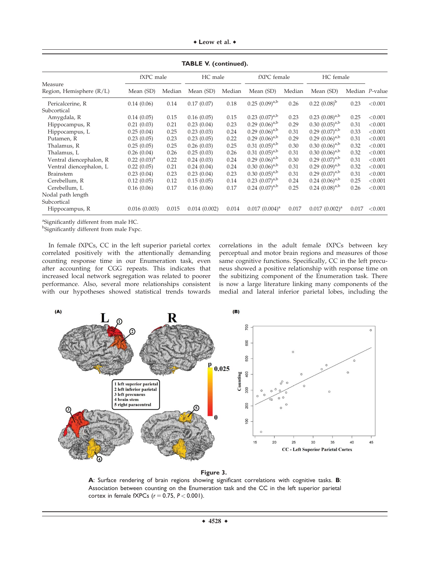| $\bullet$ Leow et al. $\bullet$ |  |  |  |
|---------------------------------|--|--|--|
|---------------------------------|--|--|--|

| Measure                    | fXPC male         |        | HC male      | fXPC female |                       | HC female |                       |       |                |
|----------------------------|-------------------|--------|--------------|-------------|-----------------------|-----------|-----------------------|-------|----------------|
| Region, Hemisphere $(R/L)$ | Mean (SD)         | Median | Mean (SD)    | Median      | Mean (SD)             | Median    | Mean (SD)             |       | Median P-value |
| Pericalcerine, R           | 0.14(0.06)        | 0.14   | 0.17(0.07)   | 0.18        | $0.25$ $(0.09)^{a,b}$ | 0.26      | $0.22$ $(0.08)^{b}$   | 0.23  | < 0.001        |
| Subcortical                |                   |        |              |             |                       |           |                       |       |                |
| Amygdala, R                | 0.14(0.05)        | 0.15   | 0.16(0.05)   | 0.15        | $0.23$ $(0.07)^{a,b}$ | 0.23      | $0.23$ $(0.08)^{a,b}$ | 0.25  | < 0.001        |
| Hippocampus, R             | 0.21(0.03)        | 0.21   | 0.23(0.04)   | 0.23        | $0.29 (0.06)^{a,b}$   | 0.29      | $0.30(0.05)^{a,b}$    | 0.31  | < 0.001        |
| Hippocampus, L             | 0.25(0.04)        | 0.25   | 0.23(0.03)   | 0.24        | $0.29$ $(0.06)^{a,b}$ | 0.31      | $0.29$ $(0.07)^{a,b}$ | 0.33  | < 0.001        |
| Putamen, R                 | 0.23(0.05)        | 0.23   | 0.23(0.05)   | 0.22        | $0.29$ $(0.06)^{a,b}$ | 0.29      | $0.29$ $(0.06)^{a,b}$ | 0.31  | < 0.001        |
| Thalamus, R                | 0.25(0.05)        | 0.25   | 0.26(0.03)   | 0.25        | $0.31 (0.05)^{a,b}$   | 0.30      | $0.30 (0.06)^{a,b}$   | 0.32  | < 0.001        |
| Thalamus, L                | 0.26(0.04)        | 0.26   | 0.25(0.03)   | 0.26        | $0.31 (0.05)^{a,b}$   | 0.31      | $0.30(0.06)^{a,b}$    | 0.32  | < 0.001        |
| Ventral diencephalon, R    | $0.22$ $(0.03)^a$ | 0.22   | 0.24(0.03)   | 0.24        | $0.29$ $(0.06)^{a,b}$ | 0.30      | $0.29$ $(0.07)^{a,b}$ | 0.31  | < 0.001        |
| Ventral diencephalon, L    | 0.22(0.05)        | 0.21   | 0.24(0.04)   | 0.24        | $0.30 (0.06)^{a,b}$   | 0.31      | $0.29$ $(0.09)^{a,b}$ | 0.32  | < 0.001        |
| <b>Brainstem</b>           | 0.23(0.04)        | 0.23   | 0.23(0.04)   | 0.23        | $0.30(0.05)^{a,b}$    | 0.31      | $0.29 (0.07)^{a,b}$   | 0.31  | < 0.001        |
| Cerebellum, R              | 0.12(0.05)        | 0.12   | 0.15(0.05)   | 0.14        | $0.23$ $(0.07)^{a,b}$ | 0.24      | $0.24$ $(0.06)^{a,b}$ | 0.25  | < 0.001        |
| Cerebellum, L              | 0.16(0.06)        | 0.17   | 0.16(0.06)   | 0.17        | $0.24$ $(0.07)^{a,b}$ | 0.25      | $0.24$ $(0.08)^{a,b}$ | 0.26  | < 0.001        |
| Nodal path length          |                   |        |              |             |                       |           |                       |       |                |
| Subcortical                |                   |        |              |             |                       |           |                       |       |                |
| Hippocampus, R             | 0.016(0.003)      | 0.015  | 0.014(0.002) | 0.014       | $0.017~(0.004)^a$     | 0.017     | $0.017$ $(0.002)^a$   | 0.017 | < 0.001        |

**TABLE V. (continued).**

<sup>b</sup>Significantly different from male Fxpc.

In female fXPCs, CC in the left superior parietal cortex correlated positively with the attentionally demanding counting response time in our Enumeration task, even after accounting for CGG repeats. This indicates that increased local network segregation was related to poorer performance. Also, several more relationships consistent with our hypotheses showed statistical trends towards

correlations in the adult female fXPCs between key perceptual and motor brain regions and measures of those same cognitive functions. Specifically, CC in the left precuneus showed a positive relationship with response time on the subitizing component of the Enumeration task. There is now a large literature linking many components of the medial and lateral inferior parietal lobes, including the



# **Figure 3.**

**A**: Surface rendering of brain regions showing significant correlations with cognitive tasks. **B**: Association between counting on the Enumeration task and the CC in the left superior parietal cortex in female fXPCs  $(r = 0.75, P < 0.001)$ .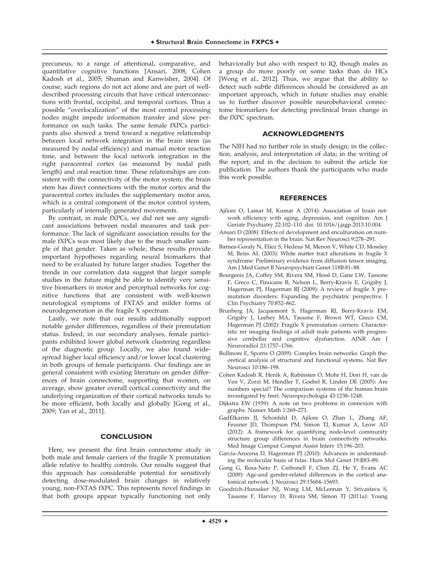precuneus, to a range of attentional, comparative, and quantitative cognitive functions [Ansari, 2008; Cohen Kadosh et al., 2005; Shuman and Kanwisher, 2004]. Of course, such regions do not act alone and are part of welldescribed processing circuits that have critical interconnections with frontal, occipital, and temporal cortices. Thus a possible "overlocalization" of the most central processing nodes might impede information transfer and slow performance on such tasks. The same female fXPCs participants also showed a trend toward a negative relationship between local network integration in the brain stem (as measured by nodal efficiency) and manual motor reaction time, and between the local network integration in the right paracentral cortex (as measured by nodal path length) and oral reaction time. These relationships are consistent with the connectivity of the motor system; the brain stem has direct connections with the motor cortex and the paracentral cortex includes the supplementary motor area, which is a central component of the motor control system, particularly of internally generated movements.

By contrast, in male fXPCs, we did not see any significant associations between nodal measures and task performance. The lack of significant association results for the male fXPCs was most likely due to the much smaller sample of that gender. Taken as whole, these results provide important hypotheses regarding neural biomarkers that need to be evaluated by future larger studies. Together the trends in our correlation data suggest that larger sample studies in the future might be able to identify very sensitive biomarkers in motor and perceptual networks for cognitive functions that are consistent with well-known neurological symptoms of FXTAS and milder forms of neurodegeneration in the fragile X spectrum.

Lastly, we note that our results additionally support notable gender differences, regardless of their premutation status. Indeed, in our secondary analyses, female participants exhibited lower global network clustering regardless of the diagnostic group. Locally, we also found widespread higher local efficiency and/or lower local clustering in both groups of female participants. Our findings are in general consistent with existing literature on gender differences of brain connectome, supporting that women, on average, show greater overall cortical connectivity and the underlying organization of their cortical networks tends to be more efficient, both locally and globally [Gong et al., 2009; Yan et al., 2011].

#### **CONCLUSION**

Here, we present the first brain connectome study in both male and female carriers of the fragile X premutation allele relative to healthy controls. Our results suggest that this approach has considerable potential for sensitively detecting dose-modulated brain changes in relatively young, non-FXTAS fXPC. This represents novel findings in that both groups appear typically functioning not only

behaviorally but also with respect to IQ, though males as a group do more poorly on some tasks than do HCs [Wong et al., 2012]. Thus, we argue that the ability to detect such subtle differences should be considered as an important approach, which in future studies may enable us to further discover possible neurobehavioral connectome biomarkers for detecting preclinical brain change in the fXPC spectrum.

# **ACKNOWLEDGMENTS**

The NIH had no further role in study design; in the collection, analysis, and interpretation of data; in the writing of the report; and in the decision to submit the article for publication. The authors thank the participants who made this work possible.

## **REFERENCES**

- Ajilore O, Lamar M, Kumar A (2014): Association of brain network efficiency with aging, depression, and cognition. Am J Geriatr Psychiatry 22:102–110. doi: [10.1016/j.jagp.2013.10.004.](info:doi/10.1016/j.jagp.2013.10.004)
- Ansari D (2008): Effects of development and enculturation on number representation in the brain. Nat Rev Neurosci 9:278–291.
- Barnea-Goraly N, Eliez S, Hedeus M, Menon V, White CD, Moseley M, Reiss AL (2003): White matter tract alterations in fragile X syndrome: Preliminary evidence from diffusion tensor imaging. Am J Med Genet B Neuropsychiatr Genet 118B:81–88.
- Bourgeois JA, Coffey SM, Rivera SM, Hessl D, Gane LW, Tassone F, Greco C, Finucane B, Nelson L, Berry-Kravis E, Grigsby J, Hagerman PJ, Hagerman RJ (2009): A review of fragile X premutation disorders: Expanding the psychiatric perspective. J Clin Psychiatry 70:852–862.
- Brunberg JA, Jacquemont S, Hagerman RJ, Berry-Kravis EM, Grigsby J, Leehey MA, Tassone F, Brown WT, Greco CM, Hagerman PJ (2002): Fragile X premutation carriers: Characteristic mr imaging findings of adult male patients with progressive cerebellar and cognitive dysfunction. AJNR Am J Neuroradiol 23:1757–1766.
- Bullmore E, Sporns O (2009): Complex brain networks: Graph theoretical analysis of structural and functional systems. Nat Rev Neurosci 10:186–198.
- Cohen Kadosh R, Henik A, Rubinsten O, Mohr H, Dori H, van de Ven V, Zorzi M, Hendler T, Goebel R, Linden DE (2005): Are numbers special? The comparison systems of the human brain investigated by fmri. Neuropsychologia 43:1238–1248.
- Dijkstra EW (1959): A note on two problems in connexion with graphs. Numer Math 1:269–271.
- GadElkarim JJ, Schonfeld D, Ajilore O, Zhan L, Zhang AF, Feusner JD, Thompson PM, Simon TJ, Kumar A, Leow AD (2012): A framework for quantifying node-level community structure group differences in brain connectivity networks. Med Image Comput Comput Assist Interv 15:196–203.
- Garcia-Arocena D, Hagerman PJ (2010): Advances in understanding the molecular basis of fxtas. Hum Mol Genet 19:R83–89.
- Gong G, Rosa-Neto P, Carbonell F, Chen ZJ, He Y, Evans AC (2009): Age-and gender-related differences in the cortical anatomical network. J Neurosci 29:15684–15693.
- Goodrich-Hunsaker NJ, Wong LM, McLennan Y, Srivastava S, Tassone F, Harvey D, Rivera SM, Simon TJ (2011a): Young